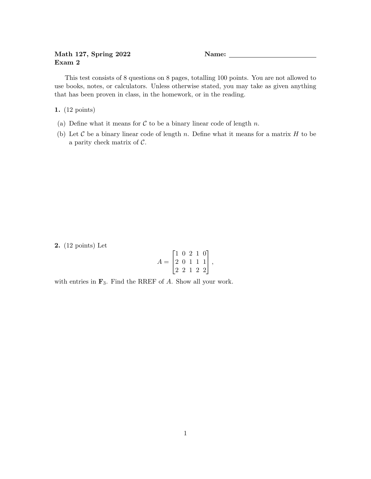## Math 127, Spring 2022 Name: Exam 2

This test consists of 8 questions on 8 pages, totalling 100 points. You are not allowed to use books, notes, or calculators. Unless otherwise stated, you may take as given anything that has been proven in class, in the homework, or in the reading.

1. (12 points)

- (a) Define what it means for  $C$  to be a binary linear code of length n.
- (b) Let  $\mathcal C$  be a binary linear code of length n. Define what it means for a matrix  $H$  to be a parity check matrix of C.

2. (12 points) Let

$$
A = \begin{bmatrix} 1 & 0 & 2 & 1 & 0 \\ 2 & 0 & 1 & 1 & 1 \\ 2 & 2 & 1 & 2 & 2 \end{bmatrix},
$$

with entries in  $\mathbf{F}_3$ . Find the RREF of A. Show all your work.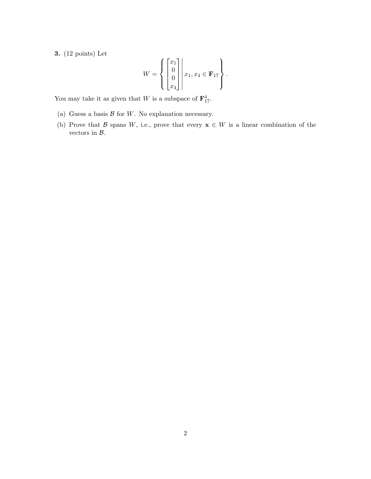3. (12 points) Let

$$
W = \left\{ \begin{bmatrix} x_1 \\ 0 \\ 0 \\ x_4 \end{bmatrix} \middle| \ x_1, x_4 \in \mathbf{F}_{17} \right\}.
$$

You may take it as given that W is a subspace of  $\mathbf{F}_{17}^4$ .

- (a) Guess a basis  $\mathcal B$  for  $W$ . No explanation necessary.
- (b) Prove that B spans W, i.e., prove that every  $\mathbf{x} \in W$  is a linear combination of the vectors in  $B$ .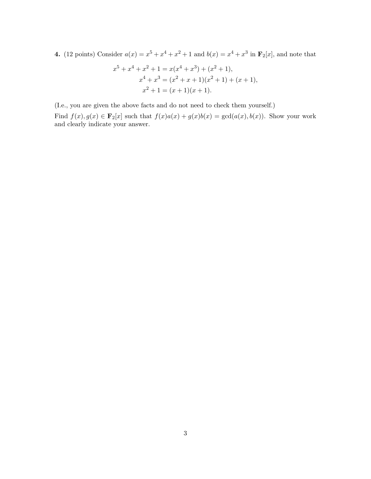4. (12 points) Consider  $a(x) = x^5 + x^4 + x^2 + 1$  and  $b(x) = x^4 + x^3$  in  $\mathbf{F}_2[x]$ , and note that

$$
x^{5} + x^{4} + x^{2} + 1 = x(x^{4} + x^{3}) + (x^{2} + 1),
$$
  
\n
$$
x^{4} + x^{3} = (x^{2} + x + 1)(x^{2} + 1) + (x + 1),
$$
  
\n
$$
x^{2} + 1 = (x + 1)(x + 1).
$$

(I.e., you are given the above facts and do not need to check them yourself.) Find  $f(x), g(x) \in \mathbf{F}_2[x]$  such that  $f(x)a(x) + g(x)b(x) = \gcd(a(x), b(x))$ . Show your work and clearly indicate your answer.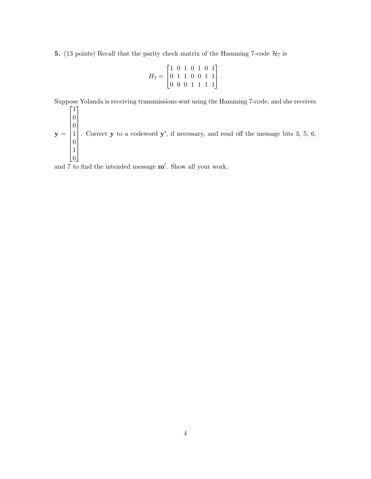5. (13 points) Recall that the parity check matrix of the Hamming 7-code  $\mathcal{H}_7$  is

$$
H_7 = \begin{bmatrix} 1 & 0 & 1 & 0 & 1 & 0 & 1 \\ 0 & 1 & 1 & 0 & 0 & 1 & 1 \\ 0 & 0 & 0 & 1 & 1 & 1 & 1 \end{bmatrix}.
$$

Suppose Yolanda is receiving transmissions sent using the Hamming 7-code, and she receives

 $y =$   $\overline{0}$  $\overline{0}$ 1  $\overline{0}$ 1  $\lfloor 0 \rfloor$  . Correct  $y$  to a codeword  $y'$ , if necessary, and read off the message bits 3, 5, 6,

and 7 to find the intended message m′ . Show all your work.

 $\sqrt{ }$ 

1

1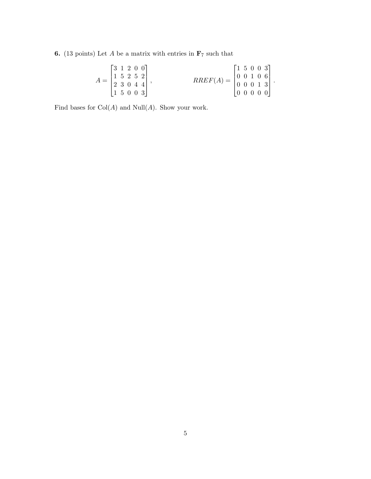**6.** (13 points) Let  $A$  be a matrix with entries in  $\mathbf{F}_7$  such that

$$
A = \begin{bmatrix} 3 & 1 & 2 & 0 & 0 \\ 1 & 5 & 2 & 5 & 2 \\ 2 & 3 & 0 & 4 & 4 \\ 1 & 5 & 0 & 0 & 3 \end{bmatrix}, \qquad RREF(A) = \begin{bmatrix} 1 & 5 & 0 & 0 & 3 \\ 0 & 0 & 1 & 0 & 6 \\ 0 & 0 & 0 & 1 & 3 \\ 0 & 0 & 0 & 0 & 0 \end{bmatrix}.
$$

Find bases for  $\operatorname{Col}(A)$  and  $\operatorname{Null}(A).$  Show your work.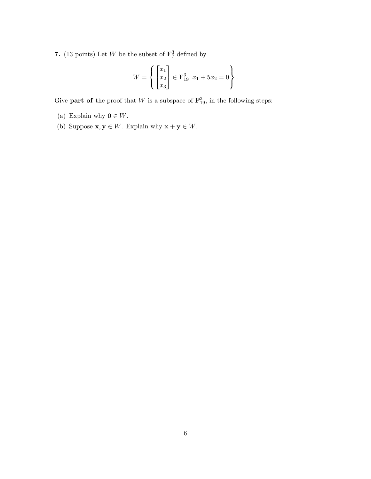7. (13 points) Let W be the subset of  $\mathbf{F}_7^3$  defined by

$$
W = \left\{ \begin{bmatrix} x_1 \\ x_2 \\ x_3 \end{bmatrix} \in \mathbf{F}_{19}^3 \middle| \ x_1 + 5x_2 = 0 \right\}.
$$

Give **part of** the proof that W is a subspace of  $\mathbf{F}_{19}^3$ , in the following steps:

- (a) Explain why  $0 \in W$ .
- (b) Suppose  $\mathbf{x}, \mathbf{y} \in W$ . Explain why  $\mathbf{x} + \mathbf{y} \in W$ .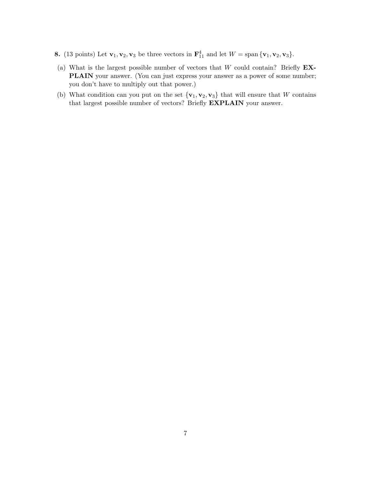- **8.** (13 points) Let  $\mathbf{v}_1, \mathbf{v}_2, \mathbf{v}_3$  be three vectors in  $\mathbf{F}_{11}^4$  and let  $W = \text{span}\{\mathbf{v}_1, \mathbf{v}_2, \mathbf{v}_3\}.$
- (a) What is the largest possible number of vectors that  $W$  could contain? Briefly  $EX-$ PLAIN your answer. (You can just express your answer as a power of some number; you don't have to multiply out that power.)
- (b) What condition can you put on the set  ${v_1, v_2, v_3}$  that will ensure that W contains that largest possible number of vectors? Briefly EXPLAIN your answer.